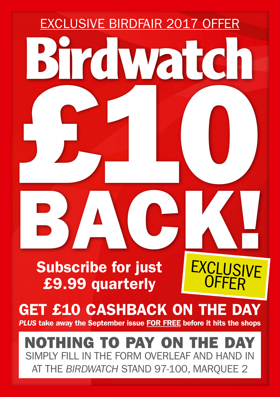

AT THE *BIRDWATCH* STAND 97-100, MARQUEE 2